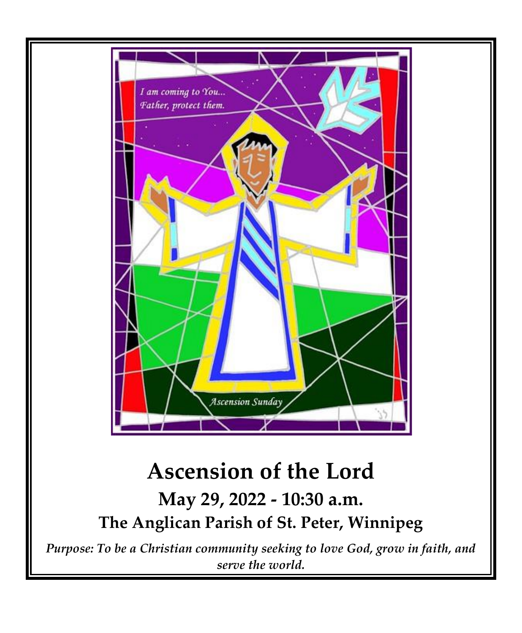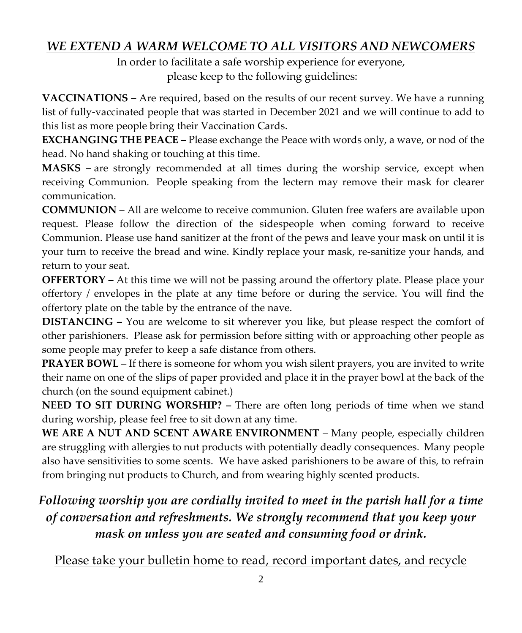# *WE EXTEND A WARM WELCOME TO ALL VISITORS AND NEWCOMERS*

In order to facilitate a safe worship experience for everyone, please keep to the following guidelines:

**VACCINATIONS –** Are required, based on the results of our recent survey. We have a running list of fully-vaccinated people that was started in December 2021 and we will continue to add to this list as more people bring their Vaccination Cards.

**EXCHANGING THE PEACE –** Please exchange the Peace with words only, a wave, or nod of the head. No hand shaking or touching at this time.

**MASKS –** are strongly recommended at all times during the worship service, except when receiving Communion. People speaking from the lectern may remove their mask for clearer communication.

**COMMUNION** – All are welcome to receive communion. Gluten free wafers are available upon request. Please follow the direction of the sidespeople when coming forward to receive Communion. Please use hand sanitizer at the front of the pews and leave your mask on until it is your turn to receive the bread and wine. Kindly replace your mask, re-sanitize your hands, and return to your seat.

**OFFERTORY –** At this time we will not be passing around the offertory plate. Please place your offertory / envelopes in the plate at any time before or during the service. You will find the offertory plate on the table by the entrance of the nave.

**DISTANCING –** You are welcome to sit wherever you like, but please respect the comfort of other parishioners. Please ask for permission before sitting with or approaching other people as some people may prefer to keep a safe distance from others.

**PRAYER BOWL** – If there is someone for whom you wish silent prayers, you are invited to write their name on one of the slips of paper provided and place it in the prayer bowl at the back of the church (on the sound equipment cabinet.)

**NEED TO SIT DURING WORSHIP? –** There are often long periods of time when we stand during worship, please feel free to sit down at any time.

WE ARE A NUT AND SCENT AWARE ENVIRONMENT - Many people, especially children are struggling with allergies to nut products with potentially deadly consequences. Many people also have sensitivities to some scents. We have asked parishioners to be aware of this, to refrain from bringing nut products to Church, and from wearing highly scented products.

# *Following worship you are cordially invited to meet in the parish hall for a time of conversation and refreshments. We strongly recommend that you keep your mask on unless you are seated and consuming food or drink.*

Please take your bulletin home to read, record important dates, and recycle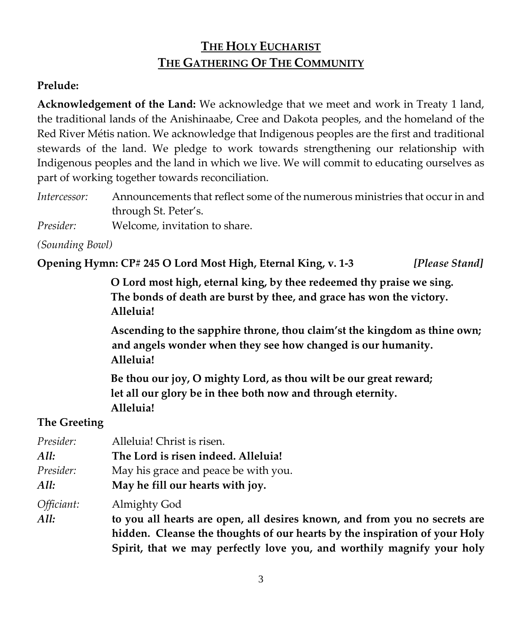# **THE HOLY EUCHARIST THE GATHERING OF THE COMMUNITY**

## **Prelude:**

**Acknowledgement of the Land:** We acknowledge that we meet and work in Treaty 1 land, the traditional lands of the Anishinaabe, Cree and Dakota peoples, and the homeland of the Red River Métis nation. We acknowledge that Indigenous peoples are the first and traditional stewards of the land. We pledge to work towards strengthening our relationship with Indigenous peoples and the land in which we live. We will commit to educating ourselves as part of working together towards reconciliation.

| Intercessor: | Announcements that reflect some of the numerous ministries that occur in and |
|--------------|------------------------------------------------------------------------------|
|              | through St. Peter's.                                                         |
|              | $\mathbf{r}$                                                                 |

*Presider:* Welcome, invitation to share.

*(Sounding Bowl)*

**Opening Hymn: CP# 245 O Lord Most High, Eternal King, v. 1-3** *[Please Stand]*

**O Lord most high, eternal king, by thee redeemed thy praise we sing. The bonds of death are burst by thee, and grace has won the victory. Alleluia!**

**Ascending to the sapphire throne, thou claim'st the kingdom as thine own; and angels wonder when they see how changed is our humanity. Alleluia!** 

**Be thou our joy, O mighty Lord, as thou wilt be our great reward; let all our glory be in thee both now and through eternity. Alleluia!** 

## **The Greeting**

| Presider:  | Alleluia! Christ is risen.                                                 |
|------------|----------------------------------------------------------------------------|
| All:       | The Lord is risen indeed. Alleluia!                                        |
| Presider:  | May his grace and peace be with you.                                       |
| All:       | May he fill our hearts with joy.                                           |
| Officiant: | Almighty God                                                               |
| All:       | to you all hearts are open, all desires known, and from you no secrets are |
|            | hidden. Cleanse the thoughts of our hearts by the inspiration of your Holy |
|            | Spirit, that we may perfectly love you, and worthily magnify your holy     |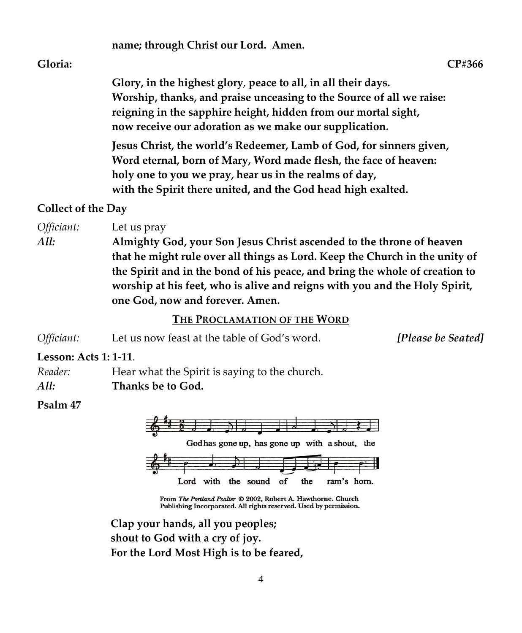# **name; through Christ our Lord. Amen.**

#### **Gloria: CP#366**

**Glory, in the highest glory**, **peace to all, in all their days. Worship, thanks, and praise unceasing to the Source of all we raise: reigning in the sapphire height, hidden from our mortal sight, now receive our adoration as we make our supplication.** 

**Jesus Christ, the world's Redeemer, Lamb of God, for sinners given, Word eternal, born of Mary, Word made flesh, the face of heaven: holy one to you we pray, hear us in the realms of day, with the Spirit there united, and the God head high exalted.** 

#### **Collect of the Day**

*Officiant:* Let us pray

*All:* **Almighty God, your Son Jesus Christ ascended to the throne of heaven that he might rule over all things as Lord. Keep the Church in the unity of the Spirit and in the bond of his peace, and bring the whole of creation to worship at his feet, who is alive and reigns with you and the Holy Spirit, one God, now and forever. Amen.**

#### **THE PROCLAMATION OF THE WORD**

| Officiant: | Let us now feast at the table of God's word. | [Please be Seated] |
|------------|----------------------------------------------|--------------------|
|------------|----------------------------------------------|--------------------|

**Lesson: Acts 1: 1-11**.

*Reader:* Hear what the Spirit is saying to the church.

*All:* **Thanks be to God.** 

#### **Psalm 47**



From The Portland Psalter © 2002, Robert A. Hawthorne. Church Publishing Incorporated. All rights reserved. Used by permission.

**Clap your hands, all you peoples; shout to God with a cry of joy. For the Lord Most High is to be feared,**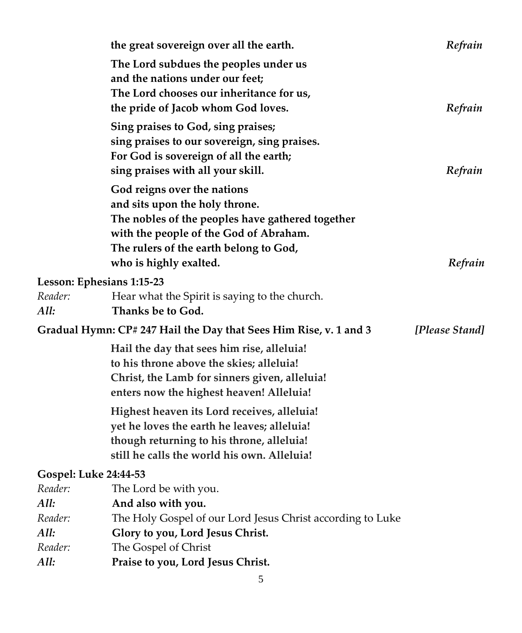| Refrain        |
|----------------|
|                |
| Refrain        |
| Refrain        |
|                |
|                |
| [Please Stand] |
|                |
|                |
|                |
|                |
|                |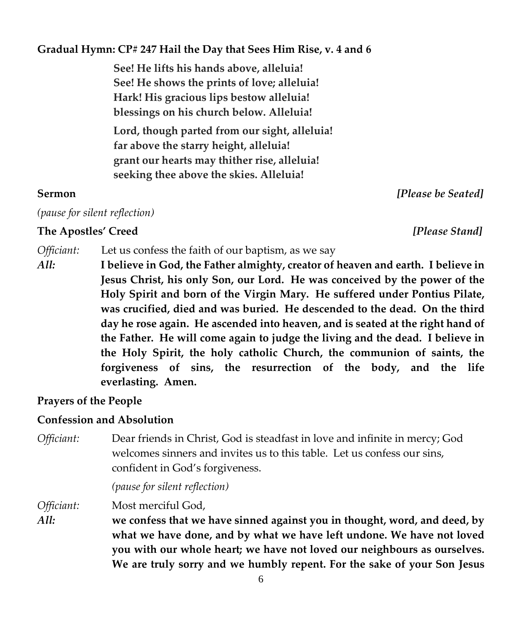#### **Gradual Hymn: CP# 247 Hail the Day that Sees Him Rise, v. 4 and 6**

**See! He lifts his hands above, alleluia! See! He shows the prints of love; alleluia! Hark! His gracious lips bestow alleluia! blessings on his church below. Alleluia!**

**Lord, though parted from our sight, alleluia! far above the starry height, alleluia! grant our hearts may thither rise, alleluia! seeking thee above the skies. Alleluia!**

#### **Sermon** *[Please be Seated]*

*(pause for silent reflection)*

#### **The Apostles' Creed** *[Please Stand]*

*Officiant:* Let us confess the faith of our baptism, as we say

*All:* **I believe in God, the Father almighty, creator of heaven and earth. I believe in Jesus Christ, his only Son, our Lord. He was conceived by the power of the Holy Spirit and born of the Virgin Mary. He suffered under Pontius Pilate, was crucified, died and was buried. He descended to the dead. On the third day he rose again. He ascended into heaven, and is seated at the right hand of the Father. He will come again to judge the living and the dead. I believe in the Holy Spirit, the holy catholic Church, the communion of saints, the forgiveness of sins, the resurrection of the body, and the life everlasting. Amen.**

#### **Prayers of the People**

#### **Confession and Absolution**

*Officiant:* Dear friends in Christ, God is steadfast in love and infinite in mercy; God welcomes sinners and invites us to this table. Let us confess our sins, confident in God's forgiveness.

*(pause for silent reflection)*

*Officiant:* Most merciful God,

*All:* **we confess that we have sinned against you in thought, word, and deed, by what we have done, and by what we have left undone. We have not loved you with our whole heart; we have not loved our neighbours as ourselves. We are truly sorry and we humbly repent. For the sake of your Son Jesus**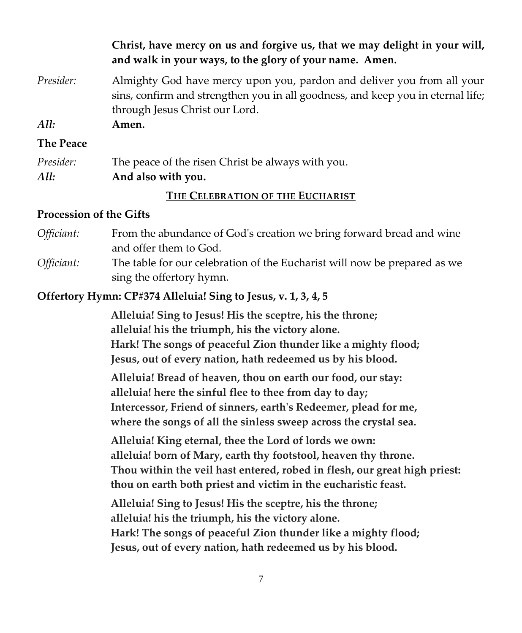**Christ, have mercy on us and forgive us, that we may delight in your will, and walk in your ways, to the glory of your name. Amen.**

- *Presider:* Almighty God have mercy upon you, pardon and deliver you from all your sins, confirm and strengthen you in all goodness, and keep you in eternal life; through Jesus Christ our Lord.
- *All:* **Amen.**

#### **The Peace**

| Presider: | The peace of the risen Christ be always with you. |
|-----------|---------------------------------------------------|
| All:      | And also with you.                                |

#### **THE CELEBRATION OF THE EUCHARIST**

#### **Procession of the Gifts**

*Officiant:* From the abundance of God's creation we bring forward bread and wine and offer them to God. *Officiant:* The table for our celebration of the Eucharist will now be prepared as we sing the offertory hymn.

#### **Offertory Hymn: CP#374 Alleluia! Sing to Jesus, v. 1, 3, 4, 5**

**Alleluia! Sing to Jesus! His the sceptre, his the throne; alleluia! his the triumph, his the victory alone. Hark! The songs of peaceful Zion thunder like a mighty flood; Jesus, out of every nation, hath redeemed us by his blood.**

**Alleluia! Bread of heaven, thou on earth our food, our stay: alleluia! here the sinful flee to thee from day to day; Intercessor, Friend of sinners, earth's Redeemer, plead for me, where the songs of all the sinless sweep across the crystal sea.**

**Alleluia! King eternal, thee the Lord of lords we own: alleluia! born of Mary, earth thy footstool, heaven thy throne. Thou within the veil hast entered, robed in flesh, our great high priest: thou on earth both priest and victim in the eucharistic feast.**

**Alleluia! Sing to Jesus! His the sceptre, his the throne; alleluia! his the triumph, his the victory alone. Hark! The songs of peaceful Zion thunder like a mighty flood; Jesus, out of every nation, hath redeemed us by his blood.**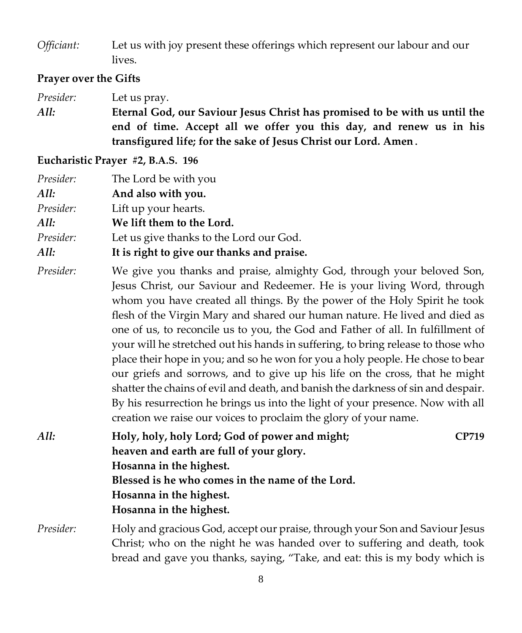*Officiant:* Let us with joy present these offerings which represent our labour and our lives.

## **Prayer over the Gifts**

*Presider:* Let us pray. *All:* **Eternal God, our Saviour Jesus Christ has promised to be with us until the end of time. Accept all we offer you this day, and renew us in his transfigured life; for the sake of Jesus Christ our Lord. Amen.**

### **Eucharistic Prayer #2, B.A.S. 196**

| Presider:<br>All:<br>Presider:<br>All:<br>Presider:<br>All: | The Lord be with you<br>And also with you.<br>Lift up your hearts.<br>We lift them to the Lord.<br>Let us give thanks to the Lord our God.<br>It is right to give our thanks and praise.                                                                                                                                                                                                                                                                                                                                                                                                                                                                                                                                                                                                                                                                                                        |  |
|-------------------------------------------------------------|-------------------------------------------------------------------------------------------------------------------------------------------------------------------------------------------------------------------------------------------------------------------------------------------------------------------------------------------------------------------------------------------------------------------------------------------------------------------------------------------------------------------------------------------------------------------------------------------------------------------------------------------------------------------------------------------------------------------------------------------------------------------------------------------------------------------------------------------------------------------------------------------------|--|
| Presider:                                                   | We give you thanks and praise, almighty God, through your beloved Son,<br>Jesus Christ, our Saviour and Redeemer. He is your living Word, through<br>whom you have created all things. By the power of the Holy Spirit he took<br>flesh of the Virgin Mary and shared our human nature. He lived and died as<br>one of us, to reconcile us to you, the God and Father of all. In fulfillment of<br>your will he stretched out his hands in suffering, to bring release to those who<br>place their hope in you; and so he won for you a holy people. He chose to bear<br>our griefs and sorrows, and to give up his life on the cross, that he might<br>shatter the chains of evil and death, and banish the darkness of sin and despair.<br>By his resurrection he brings us into the light of your presence. Now with all<br>creation we raise our voices to proclaim the glory of your name. |  |
| All:                                                        | Holy, holy, holy Lord; God of power and might;<br><b>CP719</b><br>heaven and earth are full of your glory.<br>Hosanna in the highest.<br>Blessed is he who comes in the name of the Lord.<br>Hosanna in the highest.<br>Hosanna in the highest.                                                                                                                                                                                                                                                                                                                                                                                                                                                                                                                                                                                                                                                 |  |
| Presider:                                                   | Holy and gracious God, accept our praise, through your Son and Saviour Jesus<br>Christ; who on the night he was handed over to suffering and death, took<br>bread and gave you thanks, saying, "Take, and eat: this is my body which is                                                                                                                                                                                                                                                                                                                                                                                                                                                                                                                                                                                                                                                         |  |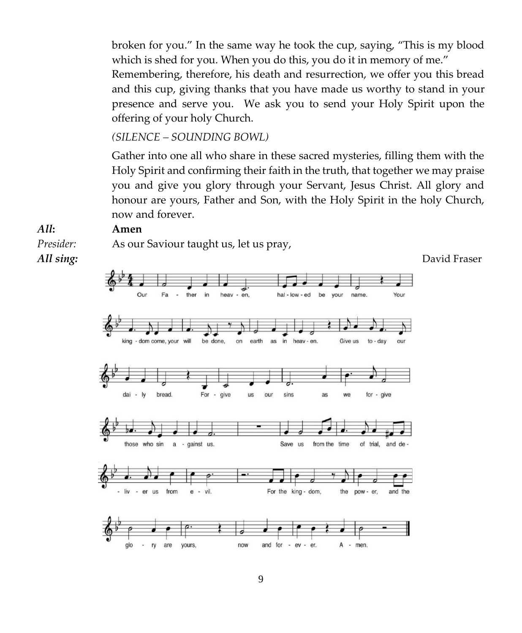broken for you." In the same way he took the cup, saying, "This is my blood which is shed for you. When you do this, you do it in memory of me."

Remembering, therefore, his death and resurrection, we offer you this bread and this cup, giving thanks that you have made us worthy to stand in your presence and serve you. We ask you to send your Holy Spirit upon the offering of your holy Church.

*(SILENCE – SOUNDING BOWL)*

Gather into one all who share in these sacred mysteries, filling them with the Holy Spirit and confirming their faith in the truth, that together we may praise you and give you glory through your Servant, Jesus Christ. All glory and honour are yours, Father and Son, with the Holy Spirit in the holy Church, now and forever.

# *All***: Amen** *Presider:* As our Saviour taught us, let us pray,

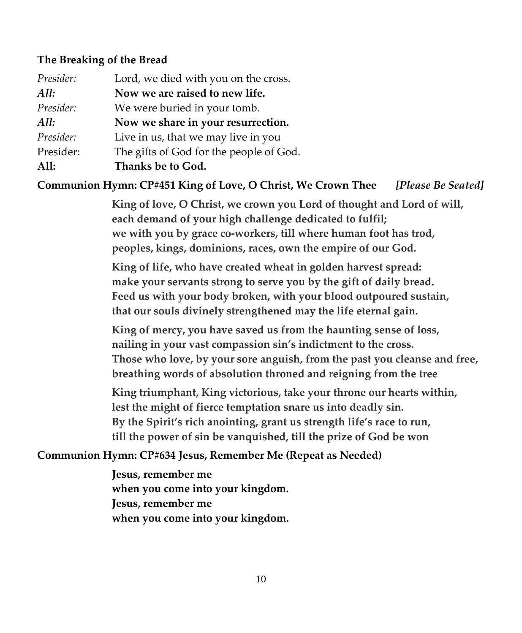#### **The Breaking of the Bread**

| Lord, we died with you on the cross.    |
|-----------------------------------------|
| Now we are raised to new life.          |
| We were buried in your tomb.            |
| Now we share in your resurrection.      |
| Live in us, that we may live in you     |
| The gifts of God for the people of God. |
| Thanks be to God.                       |
|                                         |

**Communion Hymn: CP#451 King of Love, O Christ, We Crown Thee** *[Please Be Seated]*

**King of love, O Christ, we crown you Lord of thought and Lord of will, each demand of your high challenge dedicated to fulfil; we with you by grace co-workers, till where human foot has trod, peoples, kings, dominions, races, own the empire of our God.**

**King of life, who have created wheat in golden harvest spread: make your servants strong to serve you by the gift of daily bread. Feed us with your body broken, with your blood outpoured sustain, that our souls divinely strengthened may the life eternal gain.**

**King of mercy, you have saved us from the haunting sense of loss, nailing in your vast compassion sin's indictment to the cross. Those who love, by your sore anguish, from the past you cleanse and free, breathing words of absolution throned and reigning from the tree**

**King triumphant, King victorious, take your throne our hearts within, lest the might of fierce temptation snare us into deadly sin. By the Spirit's rich anointing, grant us strength life's race to run, till the power of sin be vanquished, till the prize of God be won**

#### **Communion Hymn: CP#634 Jesus, Remember Me (Repeat as Needed)**

**Jesus, remember me when you come into your kingdom. Jesus, remember me when you come into your kingdom.**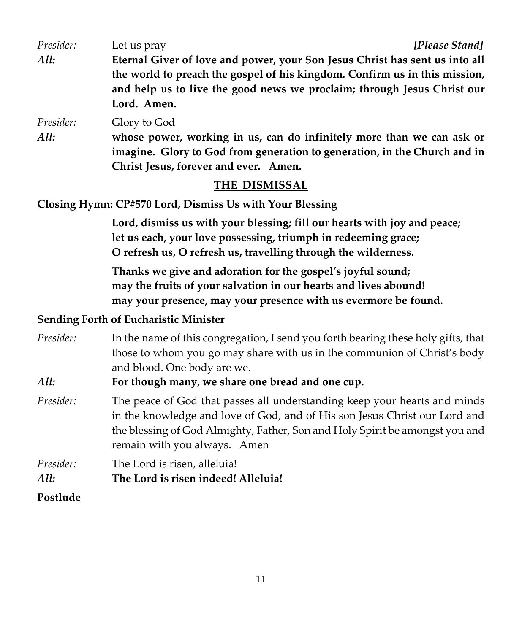| Presider: | [Please Stand]<br>Let us pray                                               |
|-----------|-----------------------------------------------------------------------------|
| All:      | Eternal Giver of love and power, your Son Jesus Christ has sent us into all |
|           | the world to preach the gospel of his kingdom. Confirm us in this mission,  |
|           | and help us to live the good news we proclaim; through Jesus Christ our     |
|           | Lord. Amen.                                                                 |
| Presider: | Glory to God                                                                |
| All:      | whose power, working in us, can do infinitely more than we can ask or       |
|           | imagine. Glory to God from generation to generation, in the Church and in   |
|           | Christ Jesus, forever and ever. Amen.                                       |

#### **THE DISMISSAL**

**Closing Hymn: CP#570 Lord, Dismiss Us with Your Blessing** 

**Lord, dismiss us with your blessing; fill our hearts with joy and peace; let us each, your love possessing, triumph in redeeming grace; O refresh us, O refresh us, travelling through the wilderness.**

**Thanks we give and adoration for the gospel's joyful sound; may the fruits of your salvation in our hearts and lives abound! may your presence, may your presence with us evermore be found.**

#### **Sending Forth of Eucharistic Minister**

| Presider: | In the name of this congregation, I send you forth bearing these holy gifts, that                                                                       |  |  |
|-----------|---------------------------------------------------------------------------------------------------------------------------------------------------------|--|--|
|           | those to whom you go may share with us in the communion of Christ's body                                                                                |  |  |
|           | and blood. One body are we.                                                                                                                             |  |  |
| All:      | For though many, we share one bread and one cup.                                                                                                        |  |  |
| Presider: | The peace of God that passes all understanding keep your hearts and minds<br>in the knowledge and love of God, and of His son Jesus Christ our Lord and |  |  |
|           | the blessing of God Almighty, Father, Son and Holy Spirit be amongst you and                                                                            |  |  |
|           | remain with you always. Amen                                                                                                                            |  |  |

| <i>Presider:</i> | The Lord is risen, alleluia!        |
|------------------|-------------------------------------|
| All:             | The Lord is risen indeed! Alleluia! |
| Postlude         |                                     |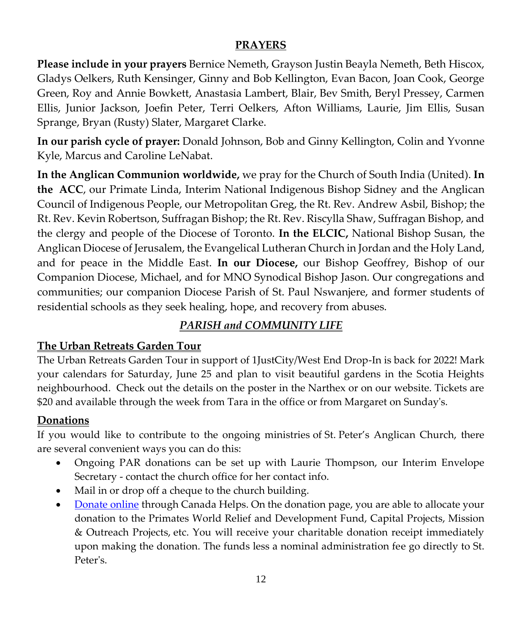## **PRAYERS**

**Please include in your prayers** Bernice Nemeth, Grayson Justin Beayla Nemeth, Beth Hiscox, Gladys Oelkers, Ruth Kensinger, Ginny and Bob Kellington, Evan Bacon, Joan Cook, George Green, Roy and Annie Bowkett, Anastasia Lambert, Blair, Bev Smith, Beryl Pressey, Carmen Ellis, Junior Jackson, Joefin Peter, Terri Oelkers, Afton Williams, Laurie, Jim Ellis, Susan Sprange, Bryan (Rusty) Slater, Margaret Clarke.

**In our parish cycle of prayer:** Donald Johnson, Bob and Ginny Kellington, Colin and Yvonne Kyle, Marcus and Caroline LeNabat.

**In the Anglican Communion worldwide,** we pray for the Church of South India (United). **In the ACC**, our Primate Linda, Interim National Indigenous Bishop Sidney and the Anglican Council of Indigenous People, our Metropolitan Greg, the Rt. Rev. Andrew Asbil, Bishop; the Rt. Rev. Kevin Robertson, Suffragan Bishop; the Rt. Rev. Riscylla Shaw, Suffragan Bishop, and the clergy and people of the Diocese of Toronto. **In the ELCIC,** National Bishop Susan, the Anglican Diocese of Jerusalem, the Evangelical Lutheran Church in Jordan and the Holy Land, and for peace in the Middle East. **In our Diocese,** our Bishop Geoffrey, Bishop of our Companion Diocese, Michael, and for MNO Synodical Bishop Jason. Our congregations and communities; our companion Diocese Parish of St. Paul Nswanjere, and former students of residential schools as they seek healing, hope, and recovery from abuses.

# *PARISH and COMMUNITY LIFE*

# **The Urban Retreats Garden Tour**

The Urban Retreats Garden Tour in support of 1JustCity/West End Drop-In is back for 2022! Mark your calendars for Saturday, June 25 and plan to visit beautiful gardens in the Scotia Heights neighbourhood. Check out the details on the poster in the Narthex or on our website. Tickets are \$20 and available through the week from Tara in the office or from Margaret on Sunday's.

## **Donations**

If you would like to contribute to the ongoing ministries of St. Peter's Anglican Church, there are several convenient ways you can do this:

- Ongoing PAR donations can be set up with Laurie Thompson, our Interim Envelope Secretary - contact the church office for her contact info.
- Mail in or drop off a cheque to the church building.
- [Donate](https://www.canadahelps.org/en/dn/37811) online through Canada Helps. On the donation page, you are able to allocate your donation to the Primates World Relief and Development Fund, Capital Projects, Mission & Outreach Projects, etc. You will receive your charitable donation receipt immediately upon making the donation. The funds less a nominal administration fee go directly to St. Peter's.